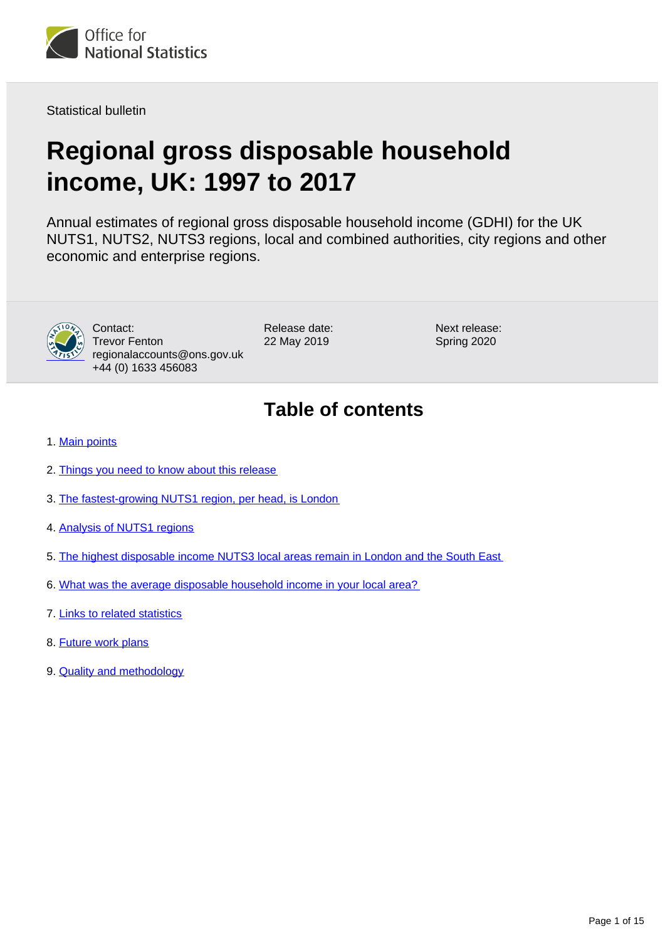<span id="page-0-0"></span>

Statistical bulletin

# **Regional gross disposable household income, UK: 1997 to 2017**

Annual estimates of regional gross disposable household income (GDHI) for the UK NUTS1, NUTS2, NUTS3 regions, local and combined authorities, city regions and other economic and enterprise regions.



Contact: Trevor Fenton regionalaccounts@ons.gov.uk +44 (0) 1633 456083

Release date: 22 May 2019

Next release: Spring 2020

# **Table of contents**

- 1. [Main points](#page-1-0)
- 2. [Things you need to know about this release](#page-1-1)
- 3. [The fastest-growing NUTS1 region, per head, is London](#page-3-0)
- 4. [Analysis of NUTS1 regions](#page-6-0)
- 5. [The highest disposable income NUTS3 local areas remain in London and the South East](#page-9-0)
- 6. [What was the average disposable household income in your local area?](#page-11-0)
- 7. [Links to related statistics](#page-11-1)
- 8. [Future work plans](#page-12-0)
- 9. [Quality and methodology](#page-13-0)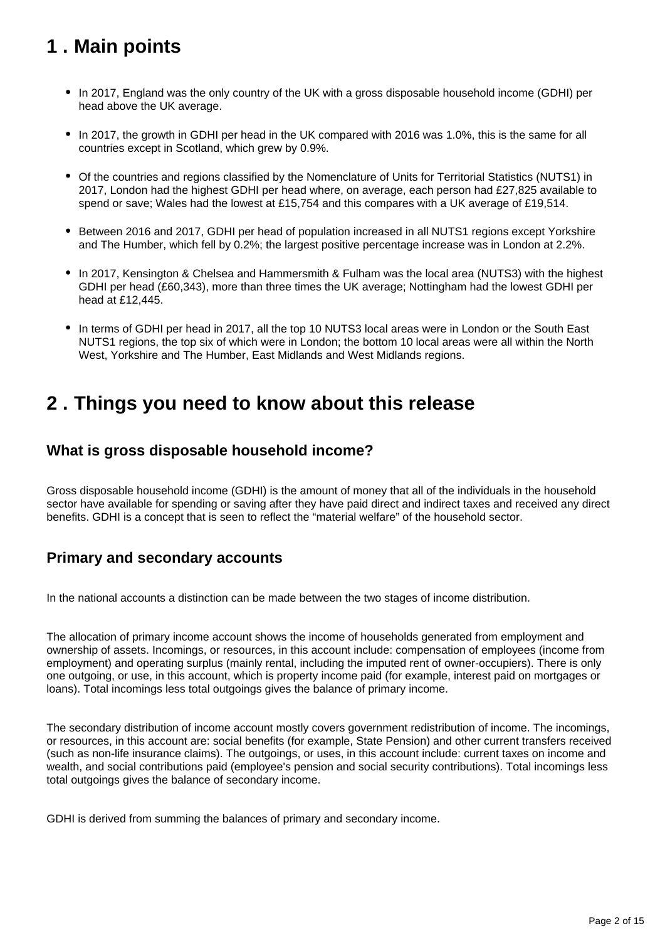# <span id="page-1-0"></span>**1 . Main points**

- In 2017, England was the only country of the UK with a gross disposable household income (GDHI) per head above the UK average.
- In 2017, the growth in GDHI per head in the UK compared with 2016 was 1.0%, this is the same for all countries except in Scotland, which grew by 0.9%.
- Of the countries and regions classified by the Nomenclature of Units for Territorial Statistics (NUTS1) in 2017, London had the highest GDHI per head where, on average, each person had £27,825 available to spend or save; Wales had the lowest at £15,754 and this compares with a UK average of £19,514.
- Between 2016 and 2017, GDHI per head of population increased in all NUTS1 regions except Yorkshire and The Humber, which fell by 0.2%; the largest positive percentage increase was in London at 2.2%.
- In 2017, Kensington & Chelsea and Hammersmith & Fulham was the local area (NUTS3) with the highest GDHI per head (£60,343), more than three times the UK average; Nottingham had the lowest GDHI per head at £12,445.
- In terms of GDHI per head in 2017, all the top 10 NUTS3 local areas were in London or the South East NUTS1 regions, the top six of which were in London; the bottom 10 local areas were all within the North West, Yorkshire and The Humber, East Midlands and West Midlands regions.

# <span id="page-1-1"></span>**2 . Things you need to know about this release**

## **What is gross disposable household income?**

Gross disposable household income (GDHI) is the amount of money that all of the individuals in the household sector have available for spending or saving after they have paid direct and indirect taxes and received any direct benefits. GDHI is a concept that is seen to reflect the "material welfare" of the household sector.

## **Primary and secondary accounts**

In the national accounts a distinction can be made between the two stages of income distribution.

The allocation of primary income account shows the income of households generated from employment and ownership of assets. Incomings, or resources, in this account include: compensation of employees (income from employment) and operating surplus (mainly rental, including the imputed rent of owner-occupiers). There is only one outgoing, or use, in this account, which is property income paid (for example, interest paid on mortgages or loans). Total incomings less total outgoings gives the balance of primary income.

The secondary distribution of income account mostly covers government redistribution of income. The incomings, or resources, in this account are: social benefits (for example, State Pension) and other current transfers received (such as non-life insurance claims). The outgoings, or uses, in this account include: current taxes on income and wealth, and social contributions paid (employee's pension and social security contributions). Total incomings less total outgoings gives the balance of secondary income.

GDHI is derived from summing the balances of primary and secondary income.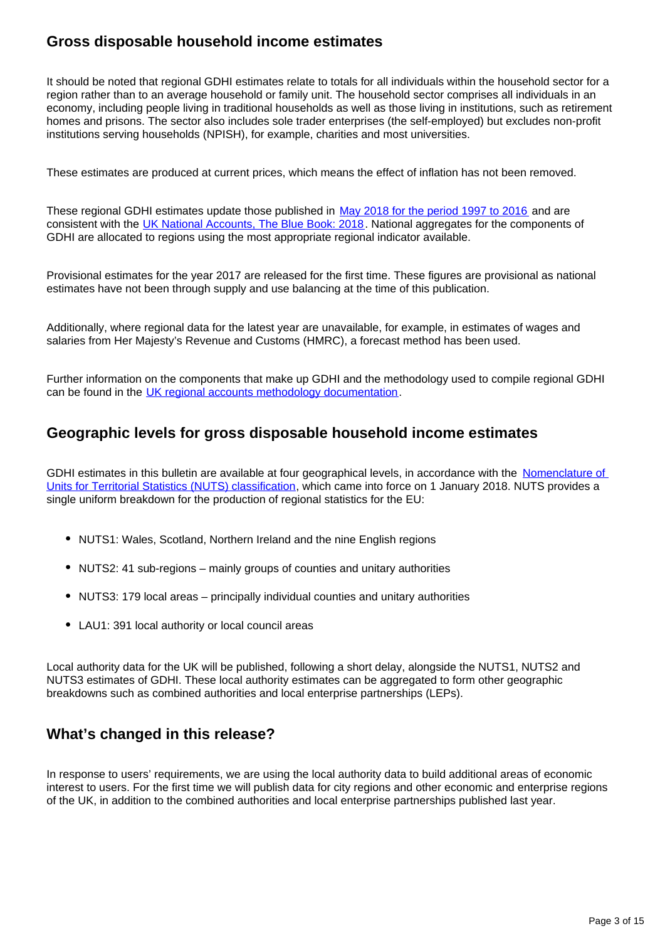## **Gross disposable household income estimates**

It should be noted that regional GDHI estimates relate to totals for all individuals within the household sector for a region rather than to an average household or family unit. The household sector comprises all individuals in an economy, including people living in traditional households as well as those living in institutions, such as retirement homes and prisons. The sector also includes sole trader enterprises (the self-employed) but excludes non-profit institutions serving households (NPISH), for example, charities and most universities.

These estimates are produced at current prices, which means the effect of inflation has not been removed.

These regional GDHI estimates update those published in [May 2018 for the period 1997 to 2016](https://www.ons.gov.uk/economy/regionalaccounts/grossdisposablehouseholdincome/datasets/regionalgrossdisposablehouseholdincomegdhi) and are consistent with the [UK National Accounts, The Blue Book: 2018.](https://www.ons.gov.uk/economy/grossdomesticproductgdp/compendium/unitedkingdomnationalaccountsthebluebook/2018) National aggregates for the components of GDHI are allocated to regions using the most appropriate regional indicator available.

Provisional estimates for the year 2017 are released for the first time. These figures are provisional as national estimates have not been through supply and use balancing at the time of this publication.

Additionally, where regional data for the latest year are unavailable, for example, in estimates of wages and salaries from Her Majesty's Revenue and Customs (HMRC), a forecast method has been used.

Further information on the components that make up GDHI and the methodology used to compile regional GDHI can be found in the [UK regional accounts methodology documentation](https://www.ons.gov.uk/economy/regionalaccounts/grossdisposablehouseholdincome/methodologies/regionalaccounts).

## **Geographic levels for gross disposable household income estimates**

GDHI estimates in this bulletin are available at four geographical levels, in accordance with the Nomenclature of [Units for Territorial Statistics \(NUTS\) classification](https://www.ons.gov.uk/methodology/geography/geographicalproducts/namescodesandlookups/namesandcodeslistings/namesandcodesforeurostatgeography), which came into force on 1 January 2018. NUTS provides a single uniform breakdown for the production of regional statistics for the EU:

- NUTS1: Wales, Scotland, Northern Ireland and the nine English regions
- NUTS2: 41 sub-regions mainly groups of counties and unitary authorities
- NUTS3: 179 local areas principally individual counties and unitary authorities
- LAU1: 391 local authority or local council areas

Local authority data for the UK will be published, following a short delay, alongside the NUTS1, NUTS2 and NUTS3 estimates of GDHI. These local authority estimates can be aggregated to form other geographic breakdowns such as combined authorities and local enterprise partnerships (LEPs).

## **What's changed in this release?**

In response to users' requirements, we are using the local authority data to build additional areas of economic interest to users. For the first time we will publish data for city regions and other economic and enterprise regions of the UK, in addition to the combined authorities and local enterprise partnerships published last year.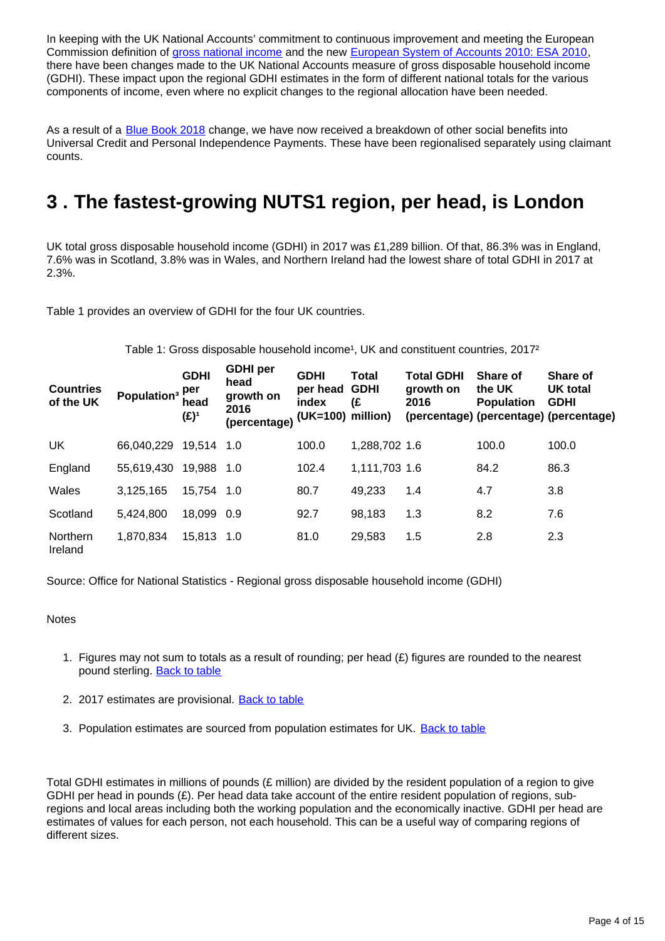In keeping with the UK National Accounts' commitment to continuous improvement and meeting the European Commission definition of [gross national income](http://ec.europa.eu/eurostat/statistics-explained/index.php/Glossary:Gross_national_income_(GNI)) and the new [European System of Accounts 2010: ESA 2010](http://ec.europa.eu/eurostat/web/products-manuals-and-guidelines/-/KS-02-13-269), there have been changes made to the UK National Accounts measure of gross disposable household income (GDHI). These impact upon the regional GDHI estimates in the form of different national totals for the various components of income, even where no explicit changes to the regional allocation have been needed.

As a result of a **[Blue Book 2018](https://www.ons.gov.uk/economy/grossdomesticproductgdp/compendium/unitedkingdomnationalaccountsthebluebook/2018/previous)** change, we have now received a breakdown of other social benefits into Universal Credit and Personal Independence Payments. These have been regionalised separately using claimant counts.

# <span id="page-3-0"></span>**3 . The fastest-growing NUTS1 region, per head, is London**

UK total gross disposable household income (GDHI) in 2017 was £1,289 billion. Of that, 86.3% was in England, 7.6% was in Scotland, 3.8% was in Wales, and Northern Ireland had the lowest share of total GDHI in 2017 at 2.3%.

Table 1 provides an overview of GDHI for the four UK countries.

Table 1: Gross disposable household income<sup>1</sup>, UK and constituent countries, 2017<sup>2</sup>

| <b>Countries</b><br>of the UK | Population <sup>3</sup> | <b>GDHI</b><br>per<br>head<br>(£)1 | <b>GDHI</b> per<br>head<br>growth on<br>2016<br>(percentage) | <b>GDHI</b><br>per head<br>index<br>(UK=100) | Total<br><b>GDHI</b><br>(£<br>million) | <b>Total GDHI</b><br>growth on<br>2016 | Share of<br>the UK<br><b>Population</b> | <b>Share of</b><br><b>UK total</b><br><b>GDHI</b><br>(percentage) (percentage) (percentage) |
|-------------------------------|-------------------------|------------------------------------|--------------------------------------------------------------|----------------------------------------------|----------------------------------------|----------------------------------------|-----------------------------------------|---------------------------------------------------------------------------------------------|
| <b>UK</b>                     | 66,040,229              | 19,514 1.0                         |                                                              | 100.0                                        | 1,288,702 1.6                          |                                        | 100.0                                   | 100.0                                                                                       |
| England                       | 55,619,430              | 19,988 1.0                         |                                                              | 102.4                                        | 1,111,703 1.6                          |                                        | 84.2                                    | 86.3                                                                                        |
| Wales                         | 3.125.165               | 15,754 1.0                         |                                                              | 80.7                                         | 49,233                                 | 1.4                                    | 4.7                                     | 3.8                                                                                         |
| Scotland                      | 5,424,800               | 18,099 0.9                         |                                                              | 92.7                                         | 98,183                                 | 1.3                                    | 8.2                                     | 7.6                                                                                         |
| Northern<br>Ireland           | 1,870,834               | 15,813 1.0                         |                                                              | 81.0                                         | 29,583                                 | 1.5                                    | 2.8                                     | 2.3                                                                                         |

Source: Office for National Statistics - Regional gross disposable household income (GDHI)

### **Notes**

- 1. Figures may not sum to totals as a result of rounding; per head (£) figures are rounded to the nearest pound sterling. [Back to table](#page-0-0)
- 2. 2017 estimates are provisional. **[Back to table](#page-0-0)**
- 3. Population estimates are sourced from population estimates for UK. **[Back to table](#page-0-0)**

Total GDHI estimates in millions of pounds (£ million) are divided by the resident population of a region to give GDHI per head in pounds (£). Per head data take account of the entire resident population of regions, subregions and local areas including both the working population and the economically inactive. GDHI per head are estimates of values for each person, not each household. This can be a useful way of comparing regions of different sizes.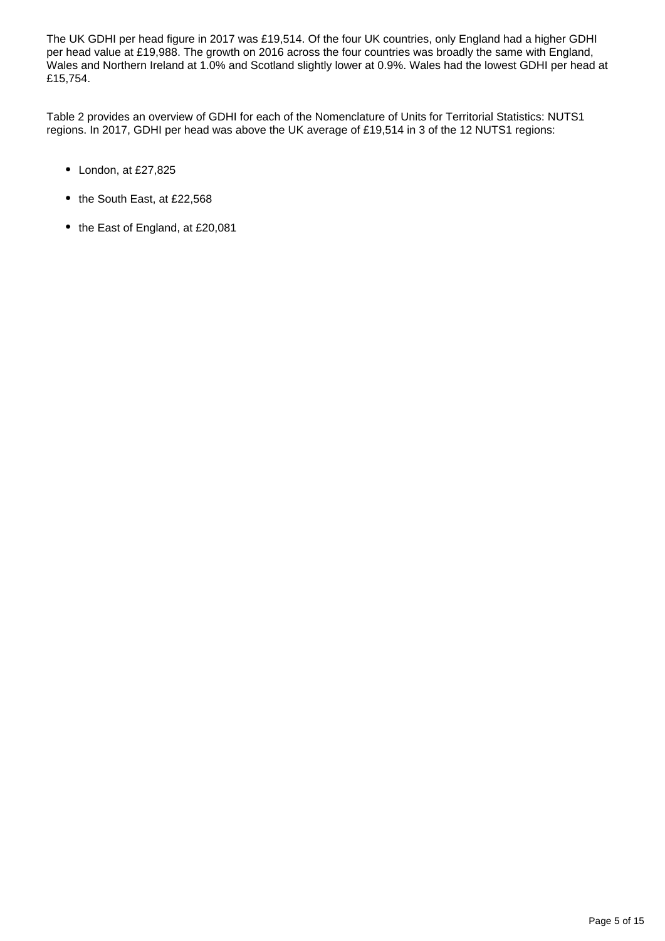The UK GDHI per head figure in 2017 was £19,514. Of the four UK countries, only England had a higher GDHI per head value at £19,988. The growth on 2016 across the four countries was broadly the same with England, Wales and Northern Ireland at 1.0% and Scotland slightly lower at 0.9%. Wales had the lowest GDHI per head at £15,754.

Table 2 provides an overview of GDHI for each of the Nomenclature of Units for Territorial Statistics: NUTS1 regions. In 2017, GDHI per head was above the UK average of £19,514 in 3 of the 12 NUTS1 regions:

- London, at £27,825
- the South East, at £22,568
- the East of England, at £20,081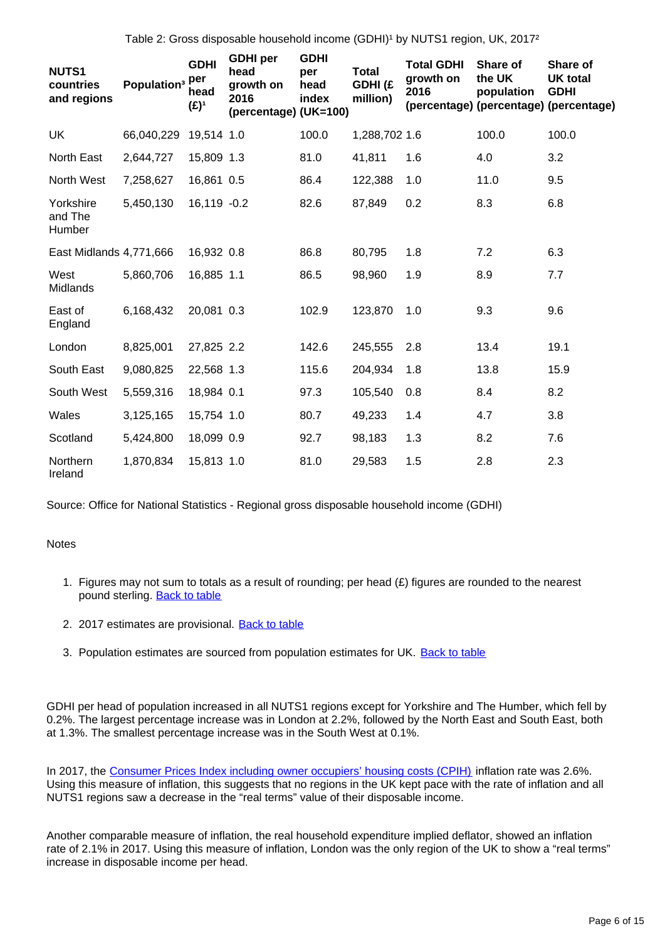Table 2: Gross disposable household income (GDHI)<sup>1</sup> by NUTS1 region, UK, 2017<sup>2</sup>

| <b>NUTS1</b><br>countries<br>and regions | Population <sup>3</sup> | <b>GDHI</b><br>per<br>head<br>(£) <sup>1</sup> | <b>GDHI</b> per<br>head<br>growth on<br>2016<br>(percentage) (UK=100) | <b>GDHI</b><br>per<br>head<br>index | <b>Total</b><br>GDHI (£<br>million) | <b>Total GDHI</b><br>growth on<br>2016 | Share of<br>the UK<br>population | Share of<br><b>UK total</b><br><b>GDHI</b><br>(percentage) (percentage) (percentage) |
|------------------------------------------|-------------------------|------------------------------------------------|-----------------------------------------------------------------------|-------------------------------------|-------------------------------------|----------------------------------------|----------------------------------|--------------------------------------------------------------------------------------|
| <b>UK</b>                                | 66,040,229              | 19,514 1.0                                     |                                                                       | 100.0                               | 1,288,702 1.6                       |                                        | 100.0                            | 100.0                                                                                |
| North East                               | 2,644,727               | 15,809 1.3                                     |                                                                       | 81.0                                | 41,811                              | 1.6                                    | 4.0                              | 3.2                                                                                  |
| North West                               | 7,258,627               | 16,861 0.5                                     |                                                                       | 86.4                                | 122,388                             | 1.0                                    | 11.0                             | 9.5                                                                                  |
| Yorkshire<br>and The<br>Humber           | 5,450,130               | 16,119 -0.2                                    |                                                                       | 82.6                                | 87,849                              | 0.2                                    | 8.3                              | 6.8                                                                                  |
| East Midlands 4,771,666                  |                         | 16,932 0.8                                     |                                                                       | 86.8                                | 80,795                              | 1.8                                    | 7.2                              | 6.3                                                                                  |
| West<br>Midlands                         | 5,860,706               | 16,885 1.1                                     |                                                                       | 86.5                                | 98,960                              | 1.9                                    | 8.9                              | 7.7                                                                                  |
| East of<br>England                       | 6,168,432               | 20,081 0.3                                     |                                                                       | 102.9                               | 123,870                             | 1.0                                    | 9.3                              | 9.6                                                                                  |
| London                                   | 8,825,001               | 27,825 2.2                                     |                                                                       | 142.6                               | 245,555                             | 2.8                                    | 13.4                             | 19.1                                                                                 |
| South East                               | 9,080,825               | 22,568 1.3                                     |                                                                       | 115.6                               | 204,934                             | 1.8                                    | 13.8                             | 15.9                                                                                 |
| South West                               | 5,559,316               | 18,984 0.1                                     |                                                                       | 97.3                                | 105,540                             | 0.8                                    | 8.4                              | 8.2                                                                                  |
| Wales                                    | 3,125,165               | 15,754 1.0                                     |                                                                       | 80.7                                | 49,233                              | 1.4                                    | 4.7                              | 3.8                                                                                  |
| Scotland                                 | 5,424,800               | 18,099 0.9                                     |                                                                       | 92.7                                | 98,183                              | 1.3                                    | 8.2                              | 7.6                                                                                  |
| Northern<br>Ireland                      | 1,870,834               | 15,813 1.0                                     |                                                                       | 81.0                                | 29,583                              | 1.5                                    | 2.8                              | 2.3                                                                                  |

Source: Office for National Statistics - Regional gross disposable household income (GDHI)

### **Notes**

- 1. Figures may not sum to totals as a result of rounding; per head (£) figures are rounded to the nearest pound sterling. [Back to table](#page-0-0)
- 2. 2017 estimates are provisional. **[Back to table](#page-0-0)**
- 3. Population estimates are sourced from population estimates for UK. **[Back to table](#page-0-0)**

GDHI per head of population increased in all NUTS1 regions except for Yorkshire and The Humber, which fell by 0.2%. The largest percentage increase was in London at 2.2%, followed by the North East and South East, both at 1.3%. The smallest percentage increase was in the South West at 0.1%.

In 2017, the [Consumer Prices Index including owner occupiers' housing costs \(CPIH\)](https://www.ons.gov.uk/economy/inflationandpriceindices/timeseries/l55o/mm23) inflation rate was 2.6%. Using this measure of inflation, this suggests that no regions in the UK kept pace with the rate of inflation and all NUTS1 regions saw a decrease in the "real terms" value of their disposable income.

Another comparable measure of inflation, the real household expenditure implied deflator, showed an inflation rate of 2.1% in 2017. Using this measure of inflation, London was the only region of the UK to show a "real terms" increase in disposable income per head.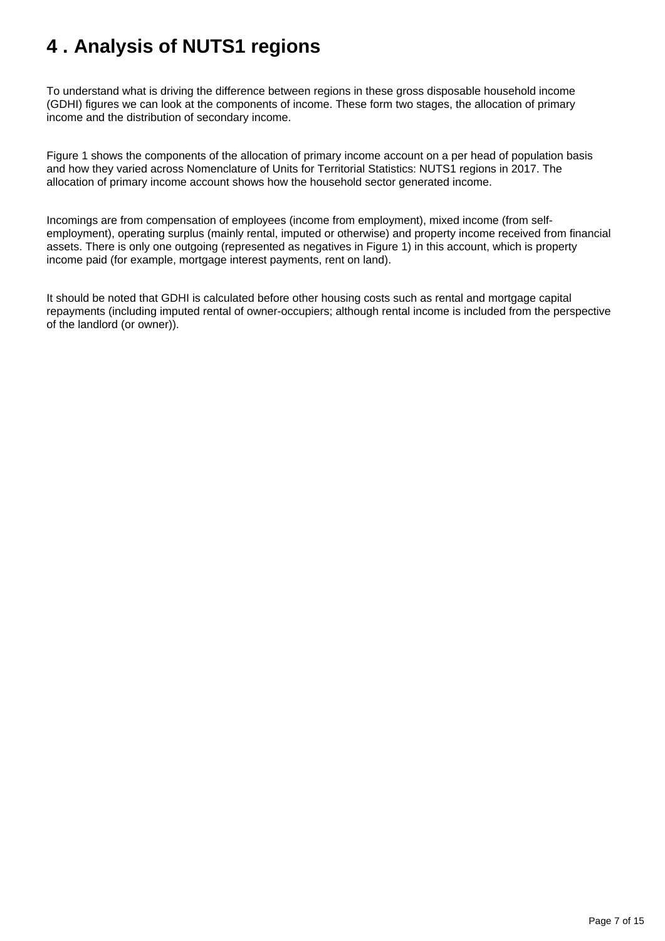# <span id="page-6-0"></span>**4 . Analysis of NUTS1 regions**

To understand what is driving the difference between regions in these gross disposable household income (GDHI) figures we can look at the components of income. These form two stages, the allocation of primary income and the distribution of secondary income.

Figure 1 shows the components of the allocation of primary income account on a per head of population basis and how they varied across Nomenclature of Units for Territorial Statistics: NUTS1 regions in 2017. The allocation of primary income account shows how the household sector generated income.

Incomings are from compensation of employees (income from employment), mixed income (from selfemployment), operating surplus (mainly rental, imputed or otherwise) and property income received from financial assets. There is only one outgoing (represented as negatives in Figure 1) in this account, which is property income paid (for example, mortgage interest payments, rent on land).

It should be noted that GDHI is calculated before other housing costs such as rental and mortgage capital repayments (including imputed rental of owner-occupiers; although rental income is included from the perspective of the landlord (or owner)).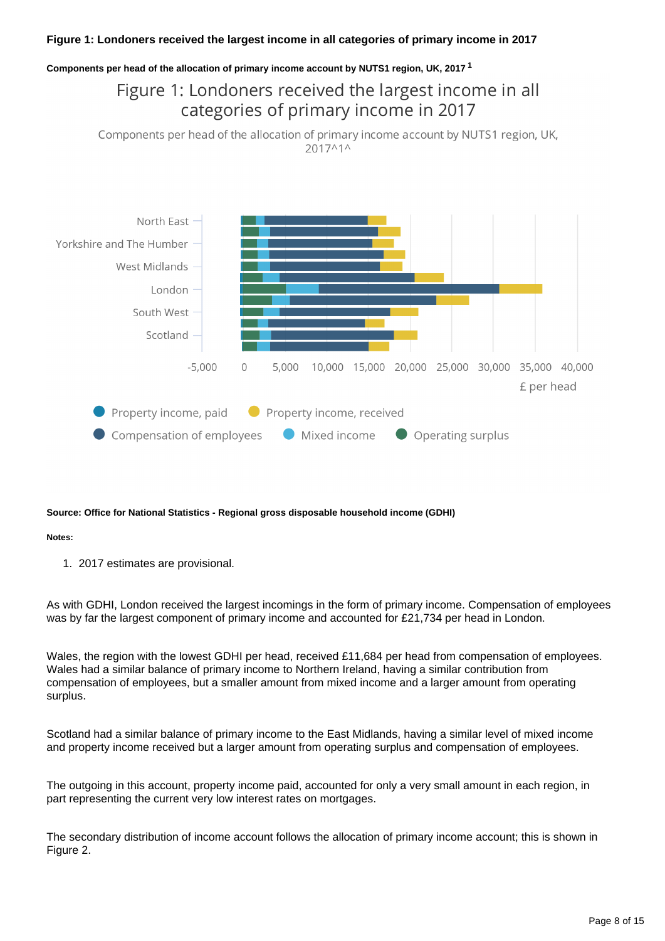### **Figure 1: Londoners received the largest income in all categories of primary income in 2017**

### **Components per head of the allocation of primary income account by NUTS1 region, UK, 2017 <sup>1</sup>**

# Figure 1: Londoners received the largest income in all categories of primary income in 2017

Components per head of the allocation of primary income account by NUTS1 region, UK, 2017^1^



### **Source: Office for National Statistics - Regional gross disposable household income (GDHI)**

### **Notes:**

1. 2017 estimates are provisional.

As with GDHI, London received the largest incomings in the form of primary income. Compensation of employees was by far the largest component of primary income and accounted for £21,734 per head in London.

Wales, the region with the lowest GDHI per head, received £11,684 per head from compensation of employees. Wales had a similar balance of primary income to Northern Ireland, having a similar contribution from compensation of employees, but a smaller amount from mixed income and a larger amount from operating surplus.

Scotland had a similar balance of primary income to the East Midlands, having a similar level of mixed income and property income received but a larger amount from operating surplus and compensation of employees.

The outgoing in this account, property income paid, accounted for only a very small amount in each region, in part representing the current very low interest rates on mortgages.

The secondary distribution of income account follows the allocation of primary income account; this is shown in Figure 2.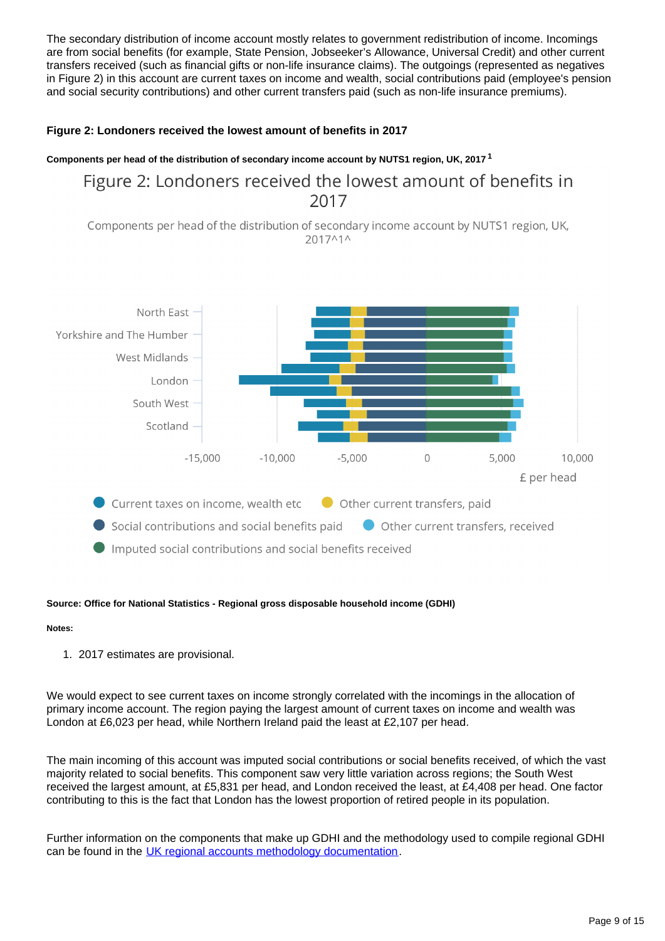The secondary distribution of income account mostly relates to government redistribution of income. Incomings are from social benefits (for example, State Pension, Jobseeker's Allowance, Universal Credit) and other current transfers received (such as financial gifts or non-life insurance claims). The outgoings (represented as negatives in Figure 2) in this account are current taxes on income and wealth, social contributions paid (employee's pension and social security contributions) and other current transfers paid (such as non-life insurance premiums).

### **Figure 2: Londoners received the lowest amount of benefits in 2017**

### **Components per head of the distribution of secondary income account by NUTS1 region, UK, 2017 <sup>1</sup>**

## Figure 2: Londoners received the lowest amount of benefits in 2017

Components per head of the distribution of secondary income account by NUTS1 region, UK, 2017^1^



### **Source: Office for National Statistics - Regional gross disposable household income (GDHI)**

### **Notes:**

1. 2017 estimates are provisional.

We would expect to see current taxes on income strongly correlated with the incomings in the allocation of primary income account. The region paying the largest amount of current taxes on income and wealth was London at £6,023 per head, while Northern Ireland paid the least at £2,107 per head.

The main incoming of this account was imputed social contributions or social benefits received, of which the vast majority related to social benefits. This component saw very little variation across regions; the South West received the largest amount, at £5,831 per head, and London received the least, at £4,408 per head. One factor contributing to this is the fact that London has the lowest proportion of retired people in its population.

Further information on the components that make up GDHI and the methodology used to compile regional GDHI can be found in the [UK regional accounts methodology documentation](https://www.ons.gov.uk/economy/regionalaccounts/grossdisposablehouseholdincome/methodologies/regionalaccounts).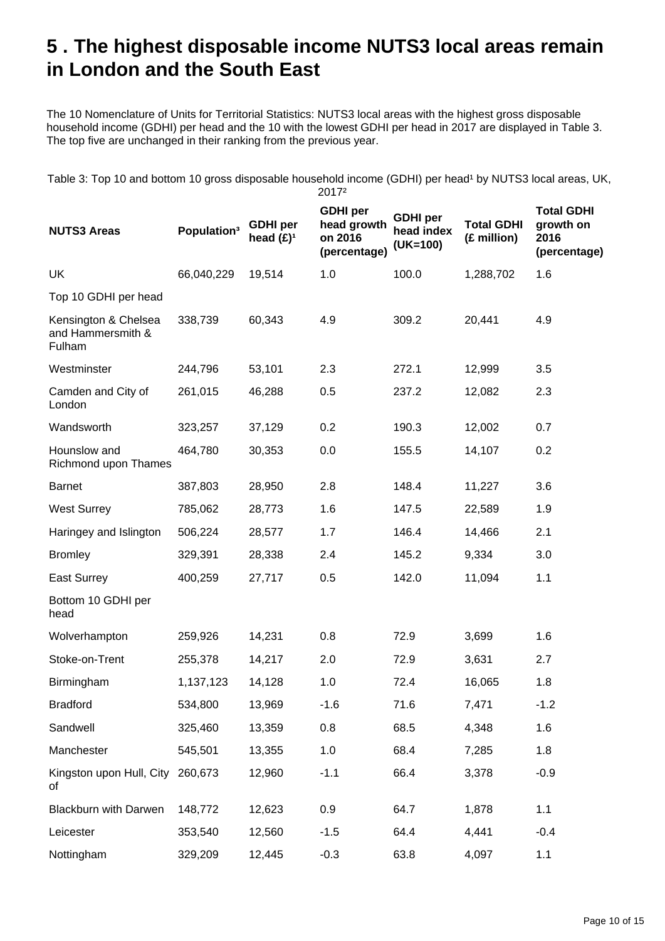# <span id="page-9-0"></span>**5 . The highest disposable income NUTS3 local areas remain in London and the South East**

The 10 Nomenclature of Units for Territorial Statistics: NUTS3 local areas with the highest gross disposable household income (GDHI) per head and the 10 with the lowest GDHI per head in 2017 are displayed in Table 3. The top five are unchanged in their ranking from the previous year.

Table 3: Top 10 and bottom 10 gross disposable household income (GDHI) per head<sup>1</sup> by NUTS3 local areas, UK, 2017²

| <b>NUTS3 Areas</b>                                  | Population <sup>3</sup> | <b>GDHI</b> per<br>head $(E)^1$ | <b>GDHI</b> per<br>head growth<br>on 2016<br>(percentage) | <b>GDHI</b> per<br>head index<br>$(UK=100)$ | <b>Total GDHI</b><br>(£ million) | <b>Total GDHI</b><br>growth on<br>2016<br>(percentage) |
|-----------------------------------------------------|-------------------------|---------------------------------|-----------------------------------------------------------|---------------------------------------------|----------------------------------|--------------------------------------------------------|
| UK                                                  | 66,040,229              | 19,514                          | 1.0                                                       | 100.0                                       | 1,288,702                        | 1.6                                                    |
| Top 10 GDHI per head                                |                         |                                 |                                                           |                                             |                                  |                                                        |
| Kensington & Chelsea<br>and Hammersmith &<br>Fulham | 338,739                 | 60,343                          | 4.9                                                       | 309.2                                       | 20,441                           | 4.9                                                    |
| Westminster                                         | 244,796                 | 53,101                          | 2.3                                                       | 272.1                                       | 12,999                           | 3.5                                                    |
| Camden and City of<br>London                        | 261,015                 | 46,288                          | 0.5                                                       | 237.2                                       | 12,082                           | 2.3                                                    |
| Wandsworth                                          | 323,257                 | 37,129                          | 0.2                                                       | 190.3                                       | 12,002                           | 0.7                                                    |
| Hounslow and<br>Richmond upon Thames                | 464,780                 | 30,353                          | 0.0                                                       | 155.5                                       | 14,107                           | 0.2                                                    |
| <b>Barnet</b>                                       | 387,803                 | 28,950                          | 2.8                                                       | 148.4                                       | 11,227                           | 3.6                                                    |
| <b>West Surrey</b>                                  | 785,062                 | 28,773                          | 1.6                                                       | 147.5                                       | 22,589                           | 1.9                                                    |
| Haringey and Islington                              | 506,224                 | 28,577                          | 1.7                                                       | 146.4                                       | 14,466                           | 2.1                                                    |
| <b>Bromley</b>                                      | 329,391                 | 28,338                          | 2.4                                                       | 145.2                                       | 9,334                            | 3.0                                                    |
| <b>East Surrey</b>                                  | 400,259                 | 27,717                          | 0.5                                                       | 142.0                                       | 11,094                           | 1.1                                                    |
| Bottom 10 GDHI per<br>head                          |                         |                                 |                                                           |                                             |                                  |                                                        |
| Wolverhampton                                       | 259,926                 | 14,231                          | 0.8                                                       | 72.9                                        | 3,699                            | 1.6                                                    |
| Stoke-on-Trent                                      | 255,378                 | 14,217                          | 2.0                                                       | 72.9                                        | 3,631                            | 2.7                                                    |
| Birmingham                                          | 1,137,123               | 14,128                          | 1.0                                                       | 72.4                                        | 16,065                           | 1.8                                                    |
| <b>Bradford</b>                                     | 534,800                 | 13,969                          | $-1.6$                                                    | 71.6                                        | 7,471                            | $-1.2$                                                 |
| Sandwell                                            | 325,460                 | 13,359                          | 0.8                                                       | 68.5                                        | 4,348                            | 1.6                                                    |
| Manchester                                          | 545,501                 | 13,355                          | 1.0                                                       | 68.4                                        | 7,285                            | 1.8                                                    |
| Kingston upon Hull, City<br>οf                      | 260,673                 | 12,960                          | $-1.1$                                                    | 66.4                                        | 3,378                            | $-0.9$                                                 |
| <b>Blackburn with Darwen</b>                        | 148,772                 | 12,623                          | 0.9                                                       | 64.7                                        | 1,878                            | 1.1                                                    |
| Leicester                                           | 353,540                 | 12,560                          | $-1.5$                                                    | 64.4                                        | 4,441                            | $-0.4$                                                 |
| Nottingham                                          | 329,209                 | 12,445                          | $-0.3$                                                    | 63.8                                        | 4,097                            | 1.1                                                    |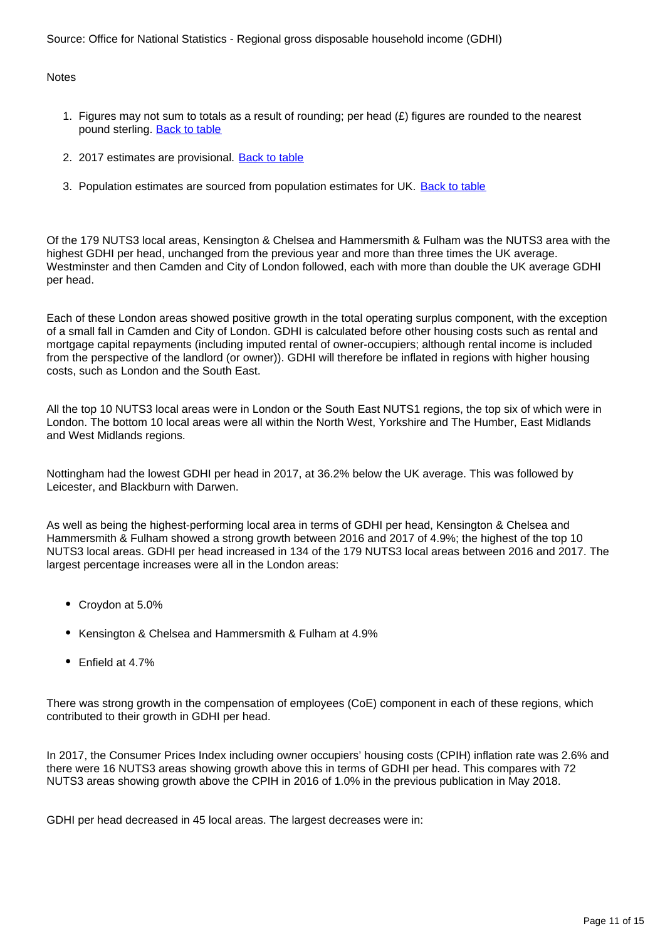Source: Office for National Statistics - Regional gross disposable household income (GDHI)

**Notes** 

- 1. Figures may not sum to totals as a result of rounding; per head (£) figures are rounded to the nearest pound sterling. Back to table
- 2. 2017 estimates are provisional. **Back to table**
- 3. Population estimates are sourced from population estimates for UK. Back to table

Of the 179 NUTS3 local areas, Kensington & Chelsea and Hammersmith & Fulham was the NUTS3 area with the highest GDHI per head, unchanged from the previous year and more than three times the UK average. Westminster and then Camden and City of London followed, each with more than double the UK average GDHI per head.

Each of these London areas showed positive growth in the total operating surplus component, with the exception of a small fall in Camden and City of London. GDHI is calculated before other housing costs such as rental and mortgage capital repayments (including imputed rental of owner-occupiers; although rental income is included from the perspective of the landlord (or owner)). GDHI will therefore be inflated in regions with higher housing costs, such as London and the South East.

All the top 10 NUTS3 local areas were in London or the South East NUTS1 regions, the top six of which were in London. The bottom 10 local areas were all within the North West, Yorkshire and The Humber, East Midlands and West Midlands regions.

Nottingham had the lowest GDHI per head in 2017, at 36.2% below the UK average. This was followed by Leicester, and Blackburn with Darwen.

As well as being the highest-performing local area in terms of GDHI per head, Kensington & Chelsea and Hammersmith & Fulham showed a strong growth between 2016 and 2017 of 4.9%; the highest of the top 10 NUTS3 local areas. GDHI per head increased in 134 of the 179 NUTS3 local areas between 2016 and 2017. The largest percentage increases were all in the London areas:

- Croydon at 5.0%
- Kensington & Chelsea and Hammersmith & Fulham at 4.9%
- Enfield at 4.7%

There was strong growth in the compensation of employees (CoE) component in each of these regions, which contributed to their growth in GDHI per head.

In 2017, the Consumer Prices Index including owner occupiers' housing costs (CPIH) inflation rate was 2.6% and there were 16 NUTS3 areas showing growth above this in terms of GDHI per head. This compares with 72 NUTS3 areas showing growth above the CPIH in 2016 of 1.0% in the previous publication in May 2018.

GDHI per head decreased in 45 local areas. The largest decreases were in: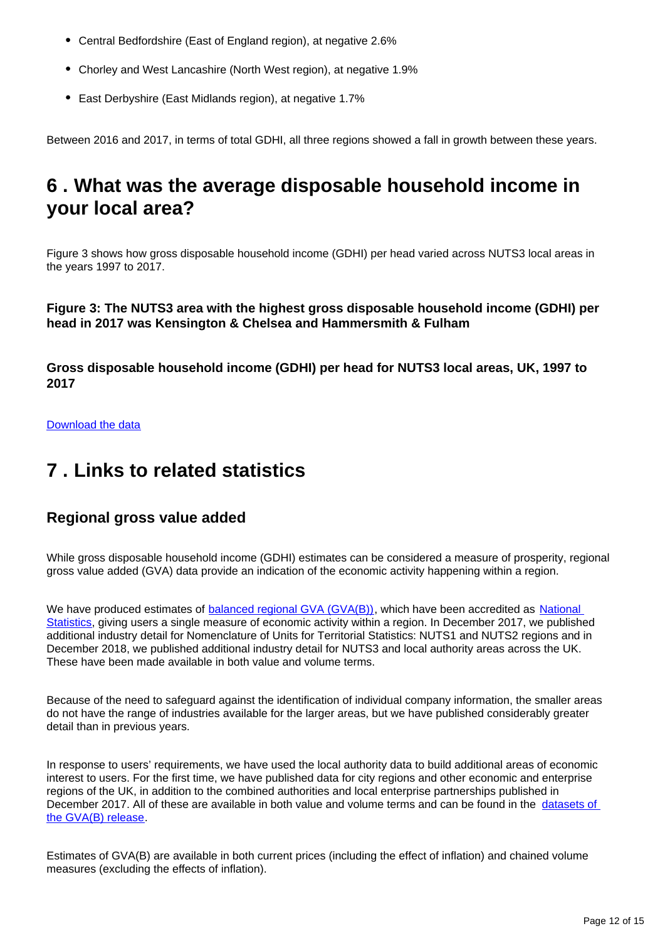- Central Bedfordshire (East of England region), at negative 2.6%
- Chorley and West Lancashire (North West region), at negative 1.9%
- East Derbyshire (East Midlands region), at negative 1.7%

Between 2016 and 2017, in terms of total GDHI, all three regions showed a fall in growth between these years.

# <span id="page-11-0"></span>**6 . What was the average disposable household income in your local area?**

Figure 3 shows how gross disposable household income (GDHI) per head varied across NUTS3 local areas in the years 1997 to 2017.

**Figure 3: The NUTS3 area with the highest gross disposable household income (GDHI) per head in 2017 was Kensington & Chelsea and Hammersmith & Fulham**

**Gross disposable household income (GDHI) per head for NUTS3 local areas, UK, 1997 to 2017**

Download the data

# <span id="page-11-1"></span>**7 . Links to related statistics**

## **Regional gross value added**

While gross disposable household income (GDHI) estimates can be considered a measure of prosperity, regional gross value added (GVA) data provide an indication of the economic activity happening within a region.

We have produced estimates of **[balanced regional GVA \(GVA\(B\)\)](https://www.ons.gov.uk/economy/grossvalueaddedgva/bulletins/regionalgrossvalueaddedbalanceduk/previousReleases)**, which have been accredited as **National** [Statistics](https://www.statisticsauthority.gov.uk/about-the-authority/uk-statistical-system/types-of-official-statistics/), giving users a single measure of economic activity within a region. In December 2017, we published additional industry detail for Nomenclature of Units for Territorial Statistics: NUTS1 and NUTS2 regions and in December 2018, we published additional industry detail for NUTS3 and local authority areas across the UK. These have been made available in both value and volume terms.

Because of the need to safeguard against the identification of individual company information, the smaller areas do not have the range of industries available for the larger areas, but we have published considerably greater detail than in previous years.

In response to users' requirements, we have used the local authority data to build additional areas of economic interest to users. For the first time, we have published data for city regions and other economic and enterprise regions of the UK, in addition to the combined authorities and local enterprise partnerships published in December 2017. All of these are available in both value and volume terms and can be found in the [datasets of](https://www.ons.gov.uk/economy/grossvalueaddedgva/bulletins/regionalgrossvalueaddedbalanceduk/1998to2017/relateddata)  [the GVA\(B\) release.](https://www.ons.gov.uk/economy/grossvalueaddedgva/bulletins/regionalgrossvalueaddedbalanceduk/1998to2017/relateddata)

Estimates of GVA(B) are available in both current prices (including the effect of inflation) and chained volume measures (excluding the effects of inflation).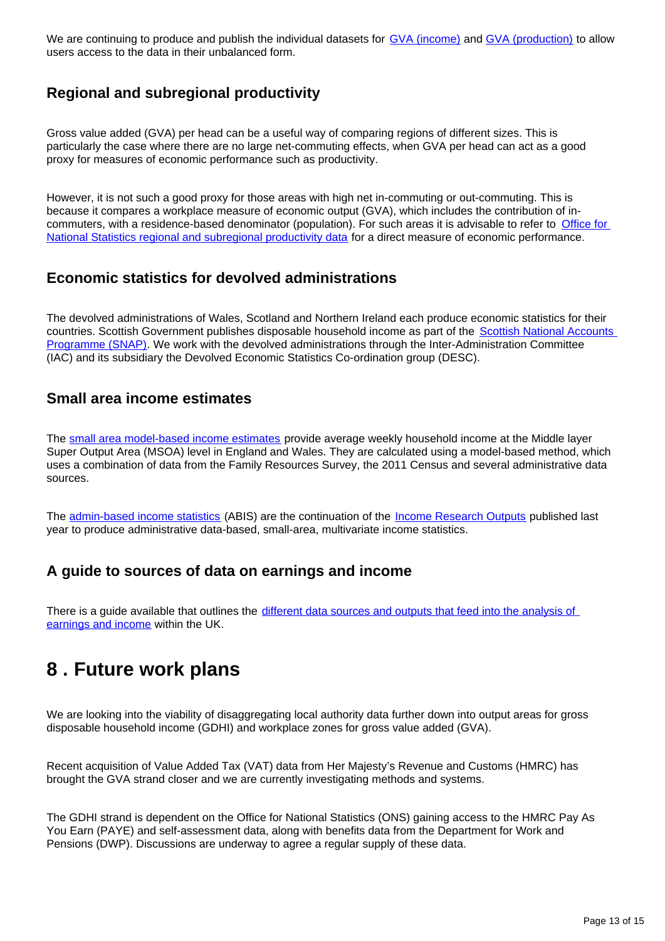We are continuing to produce and publish the individual datasets for [GVA \(income\)](https://www.ons.gov.uk/economy/grossvalueaddedgva/datasets/regionalgrossvalueaddedincomeapproach) and [GVA \(production\)](https://www.ons.gov.uk/economy/grossvalueaddedgva/datasets/regionalgrossvalueaddedproductionapproachconstraineddatatables) to allow users access to the data in their unbalanced form.

## **Regional and subregional productivity**

Gross value added (GVA) per head can be a useful way of comparing regions of different sizes. This is particularly the case where there are no large net-commuting effects, when GVA per head can act as a good proxy for measures of economic performance such as productivity.

However, it is not such a good proxy for those areas with high net in-commuting or out-commuting. This is because it compares a workplace measure of economic output (GVA), which includes the contribution of incommuters, with a residence-based denominator (population). For such areas it is advisable to refer to [Office for](https://www.ons.gov.uk/employmentandlabourmarket/peopleinwork/labourproductivity/articles/regionalandsubregionalproductivityintheuk/february2019)  [National Statistics regional and subregional productivity data](https://www.ons.gov.uk/employmentandlabourmarket/peopleinwork/labourproductivity/articles/regionalandsubregionalproductivityintheuk/february2019) for a direct measure of economic performance.

## **Economic statistics for devolved administrations**

The devolved administrations of Wales, Scotland and Northern Ireland each produce economic statistics for their countries. Scottish Government publishes disposable household income as part of the Scottish National Accounts [Programme \(SNAP\).](http://www.gov.scot/Topics/Statistics/Browse/Economy/SNAP) We work with the devolved administrations through the Inter-Administration Committee (IAC) and its subsidiary the Devolved Economic Statistics Co-ordination group (DESC).

### **Small area income estimates**

The [small area model-based income estimates](https://www.ons.gov.uk/peoplepopulationandcommunity/personalandhouseholdfinances/incomeandwealth/bulletins/smallareamodelbasedincomeestimates/financialyearending2016) provide average weekly household income at the Middle layer Super Output Area (MSOA) level in England and Wales. They are calculated using a model-based method, which uses a combination of data from the Family Resources Survey, the 2011 Census and several administrative data sources.

The [admin-based income statistics](https://www.ons.gov.uk/census/censustransformationprogramme/administrativedatacensusproject/administrativedatacensusresearchoutputs/populationcharacteristics/adminbasedincomestatisticsenglandandwalestaxyearending2016) (ABIS) are the continuation of the [Income Research Outputs](https://www.ons.gov.uk/census/censustransformationprogramme/administrativedatacensusproject/administrativedatacensusresearchoutputs/populationcharacteristics/researchoutputsincomefrompayasyouearnpayeandbenefitsfortaxyearending2016) published last year to produce administrative data-based, small-area, multivariate income statistics.

## **A guide to sources of data on earnings and income**

There is a guide available that outlines the different data sources and outputs that feed into the analysis of [earnings and income](https://www.ons.gov.uk/employmentandlabourmarket/peopleinwork/earningsandworkinghours/methodologies/aguidetosourcesofdataonearningsandincome) within the UK.

# <span id="page-12-0"></span>**8 . Future work plans**

We are looking into the viability of disaggregating local authority data further down into output areas for gross disposable household income (GDHI) and workplace zones for gross value added (GVA).

Recent acquisition of Value Added Tax (VAT) data from Her Majesty's Revenue and Customs (HMRC) has brought the GVA strand closer and we are currently investigating methods and systems.

The GDHI strand is dependent on the Office for National Statistics (ONS) gaining access to the HMRC Pay As You Earn (PAYE) and self-assessment data, along with benefits data from the Department for Work and Pensions (DWP). Discussions are underway to agree a regular supply of these data.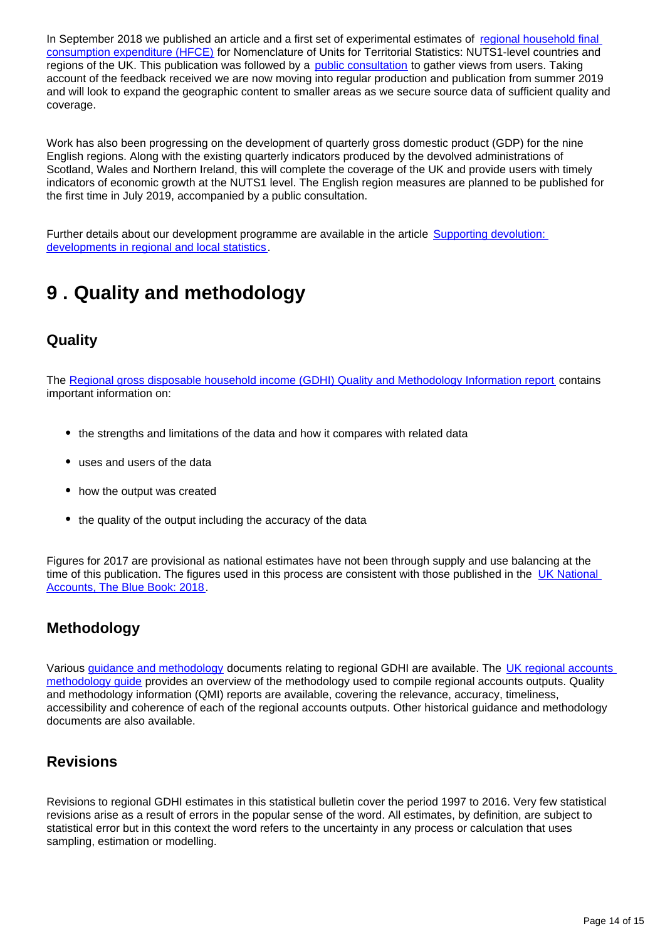In September 2018 we published an article and a first set of experimental estimates of regional household final [consumption expenditure \(HFCE\)](https://www.ons.gov.uk/economy/regionalaccounts/grossdisposablehouseholdincome/articles/developmentofregionalhouseholdexpendituremeasures/2018-09-26) for Nomenclature of Units for Territorial Statistics: NUTS1-level countries and regions of the UK. This publication was followed by a **[public consultation](https://consultations.ons.gov.uk/national-accounts/consultation-on-regional-household-expenditure-mea/)** to gather views from users. Taking account of the feedback received we are now moving into regular production and publication from summer 2019 and will look to expand the geographic content to smaller areas as we secure source data of sufficient quality and coverage.

Work has also been progressing on the development of quarterly gross domestic product (GDP) for the nine English regions. Along with the existing quarterly indicators produced by the devolved administrations of Scotland, Wales and Northern Ireland, this will complete the coverage of the UK and provide users with timely indicators of economic growth at the NUTS1 level. The English region measures are planned to be published for the first time in July 2019, accompanied by a public consultation.

Further details about our development programme are available in the article Supporting devolution: [developments in regional and local statistics.](https://www.ons.gov.uk/economy/regionalaccounts/grossdisposablehouseholdincome/articles/supportingdevolutiondevelopmentsinregionalandlocalstatistics/2016-05-25)

# <span id="page-13-0"></span>**9 . Quality and methodology**

## **Quality**

The [Regional gross disposable household income \(GDHI\) Quality and Methodology Information report](https://www.ons.gov.uk/economy/regionalaccounts/grossdisposablehouseholdincome/qmis/regionalgrossdisposablehouseholdincomeqmi) contains important information on:

- the strengths and limitations of the data and how it compares with related data
- uses and users of the data
- how the output was created
- the quality of the output including the accuracy of the data

Figures for 2017 are provisional as national estimates have not been through supply and use balancing at the time of this publication. The figures used in this process are consistent with those published in the UK National [Accounts, The Blue Book: 2018.](https://www.ons.gov.uk/economy/grossdomesticproductgdp/compendium/unitedkingdomnationalaccountsthebluebook/2018)

## **Methodology**

Various [guidance and methodology](https://www.ons.gov.uk/economy/regionalaccounts/grossdisposablehouseholdincome/methodologies/regionalaccountsuserengagement) documents relating to regional GDHI are available. The UK regional accounts [methodology guide](https://www.ons.gov.uk/economy/regionalaccounts/grossdisposablehouseholdincome/methodologies/regionalaccounts) provides an overview of the methodology used to compile regional accounts outputs. Quality and methodology information (QMI) reports are available, covering the relevance, accuracy, timeliness, accessibility and coherence of each of the regional accounts outputs. Other historical guidance and methodology documents are also available.

## **Revisions**

Revisions to regional GDHI estimates in this statistical bulletin cover the period 1997 to 2016. Very few statistical revisions arise as a result of errors in the popular sense of the word. All estimates, by definition, are subject to statistical error but in this context the word refers to the uncertainty in any process or calculation that uses sampling, estimation or modelling.